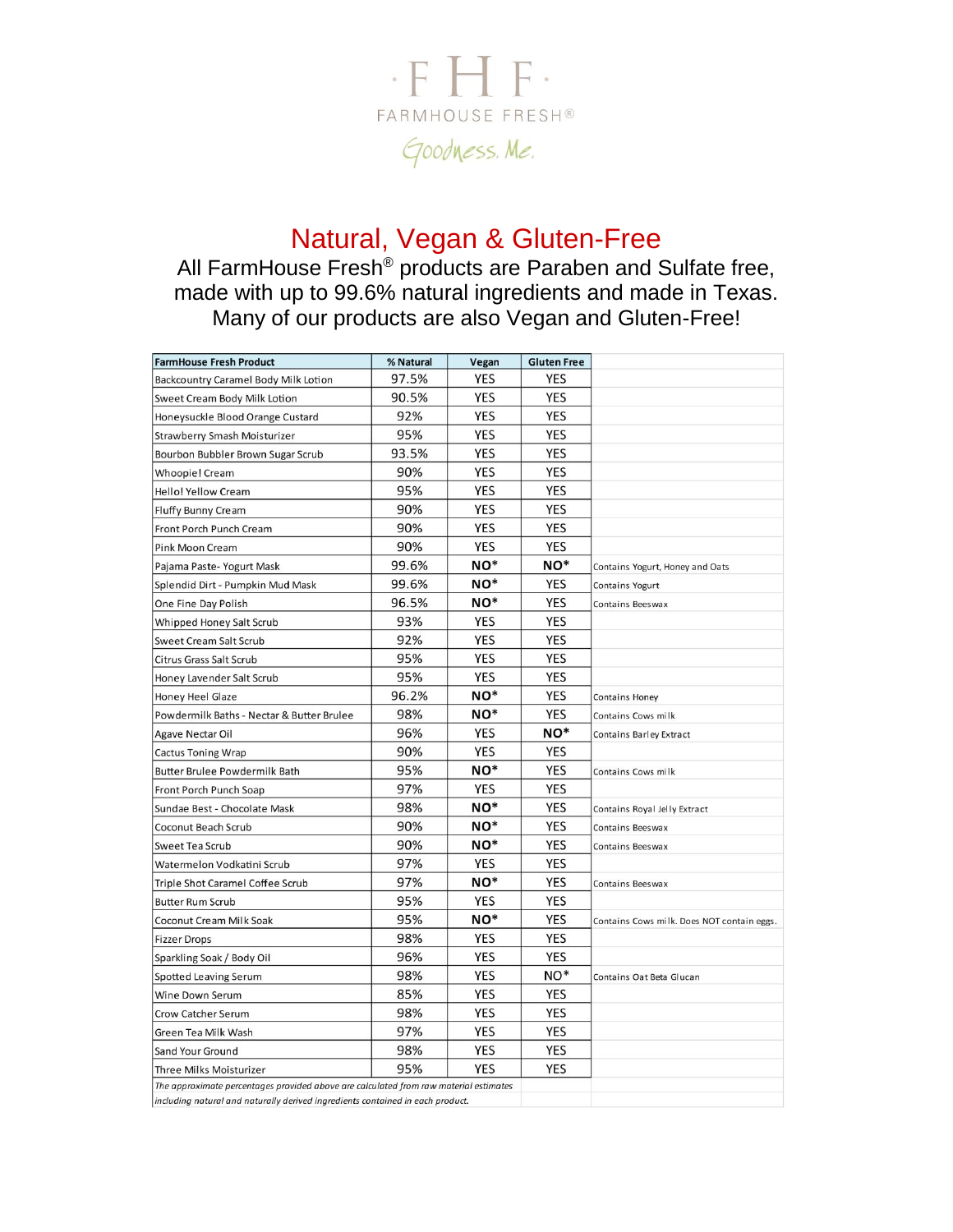

# Natural, Vegan & Gluten-Free

All FarmHouse Fresh® products are Paraben and Sulfate free, made with up to 99.6% natural ingredients and made in Texas. Many of our products are also Vegan and Gluten-Free!

| <b>FarmHouse Fresh Product</b>                                                        | % Natural | Vegan           | <b>Gluten Free</b> |                                            |
|---------------------------------------------------------------------------------------|-----------|-----------------|--------------------|--------------------------------------------|
| Backcountry Caramel Body Milk Lotion                                                  | 97.5%     | <b>YES</b>      | <b>YES</b>         |                                            |
| Sweet Cream Body Milk Lotion                                                          | 90.5%     | <b>YES</b>      | <b>YES</b>         |                                            |
| Honeysuckle Blood Orange Custard                                                      | 92%       | <b>YES</b>      | <b>YES</b>         |                                            |
| Strawberry Smash Moisturizer                                                          | 95%       | YES             | <b>YES</b>         |                                            |
| Bourbon Bubbler Brown Sugar Scrub                                                     | 93.5%     | YES             | <b>YES</b>         |                                            |
| Whoopie! Cream                                                                        | 90%       | YES             | <b>YES</b>         |                                            |
| <b>Hello! Yellow Cream</b>                                                            | 95%       | <b>YES</b>      | <b>YES</b>         |                                            |
| Fluffy Bunny Cream                                                                    | 90%       | <b>YES</b>      | <b>YES</b>         |                                            |
| Front Porch Punch Cream                                                               | 90%       | YES             | <b>YES</b>         |                                            |
| Pink Moon Cream                                                                       | 90%       | YES             | <b>YES</b>         |                                            |
| Pajama Paste-Yogurt Mask                                                              | 99.6%     | NO <sup>*</sup> | NO*                | Contains Yogurt, Honey and Oats            |
| Splendid Dirt - Pumpkin Mud Mask                                                      | 99.6%     | $NO^*$          | <b>YES</b>         | <b>Contains Yogurt</b>                     |
| One Fine Day Polish                                                                   | 96.5%     | $NO^*$          | <b>YES</b>         | Contains Beeswax                           |
| Whipped Honey Salt Scrub                                                              | 93%       | <b>YES</b>      | <b>YES</b>         |                                            |
| Sweet Cream Salt Scrub                                                                | 92%       | <b>YES</b>      | <b>YES</b>         |                                            |
| Citrus Grass Salt Scrub                                                               | 95%       | <b>YES</b>      | <b>YES</b>         |                                            |
| Honey Lavender Salt Scrub                                                             | 95%       | YES             | <b>YES</b>         |                                            |
| Honey Heel Glaze                                                                      | 96.2%     | NO <sup>*</sup> | <b>YES</b>         | <b>Contains Honey</b>                      |
| Powdermilk Baths - Nectar & Butter Brulee                                             | 98%       | $NO^*$          | <b>YES</b>         | Contains Cows milk                         |
| Agave Nectar Oil                                                                      | 96%       | YES             | NO*                | Contains Barley Extract                    |
| <b>Cactus Toning Wrap</b>                                                             | 90%       | YES             | <b>YES</b>         |                                            |
| <b>Butter Brulee Powdermilk Bath</b>                                                  | 95%       | $NO^*$          | <b>YES</b>         | Contains Cows milk                         |
| Front Porch Punch Soap                                                                | 97%       | <b>YES</b>      | <b>YES</b>         |                                            |
| Sundae Best - Chocolate Mask                                                          | 98%       | NO <sup>*</sup> | <b>YES</b>         | Contains Royal Jelly Extract               |
| Coconut Beach Scrub                                                                   | 90%       | NO <sup>*</sup> | <b>YES</b>         | Contains Beeswax                           |
| <b>Sweet Tea Scrub</b>                                                                | 90%       | $NO^*$          | <b>YES</b>         | Contains Beeswax                           |
| Watermelon Vodkatini Scrub                                                            | 97%       | <b>YES</b>      | <b>YES</b>         |                                            |
| Triple Shot Caramel Coffee Scrub                                                      | 97%       | $NO^*$          | <b>YES</b>         | Contains Beeswax                           |
| <b>Butter Rum Scrub</b>                                                               | 95%       | <b>YES</b>      | <b>YES</b>         |                                            |
| Coconut Cream Milk Soak                                                               | 95%       | $NO*$           | <b>YES</b>         | Contains Cows milk. Does NOT contain eggs. |
| <b>Fizzer Drops</b>                                                                   | 98%       | YES             | <b>YES</b>         |                                            |
| Sparkling Soak / Body Oil                                                             | 96%       | YES             | <b>YES</b>         |                                            |
| Spotted Leaving Serum                                                                 | 98%       | <b>YES</b>      | NO <sup>*</sup>    | Contains Oat Beta Glucan                   |
| Wine Down Serum                                                                       | 85%       | YES             | <b>YES</b>         |                                            |
| <b>Crow Catcher Serum</b>                                                             | 98%       | <b>YES</b>      | <b>YES</b>         |                                            |
| Green Tea Milk Wash                                                                   | 97%       | YES             | <b>YES</b>         |                                            |
| Sand Your Ground                                                                      | 98%       | YES             | <b>YES</b>         |                                            |
| Three Milks Moisturizer                                                               | 95%       | YES             | <b>YES</b>         |                                            |
| The approximate percentages provided above are calculated from raw material estimates |           |                 |                    |                                            |
| including natural and naturally derived inaredients contained in each product.        |           |                 |                    |                                            |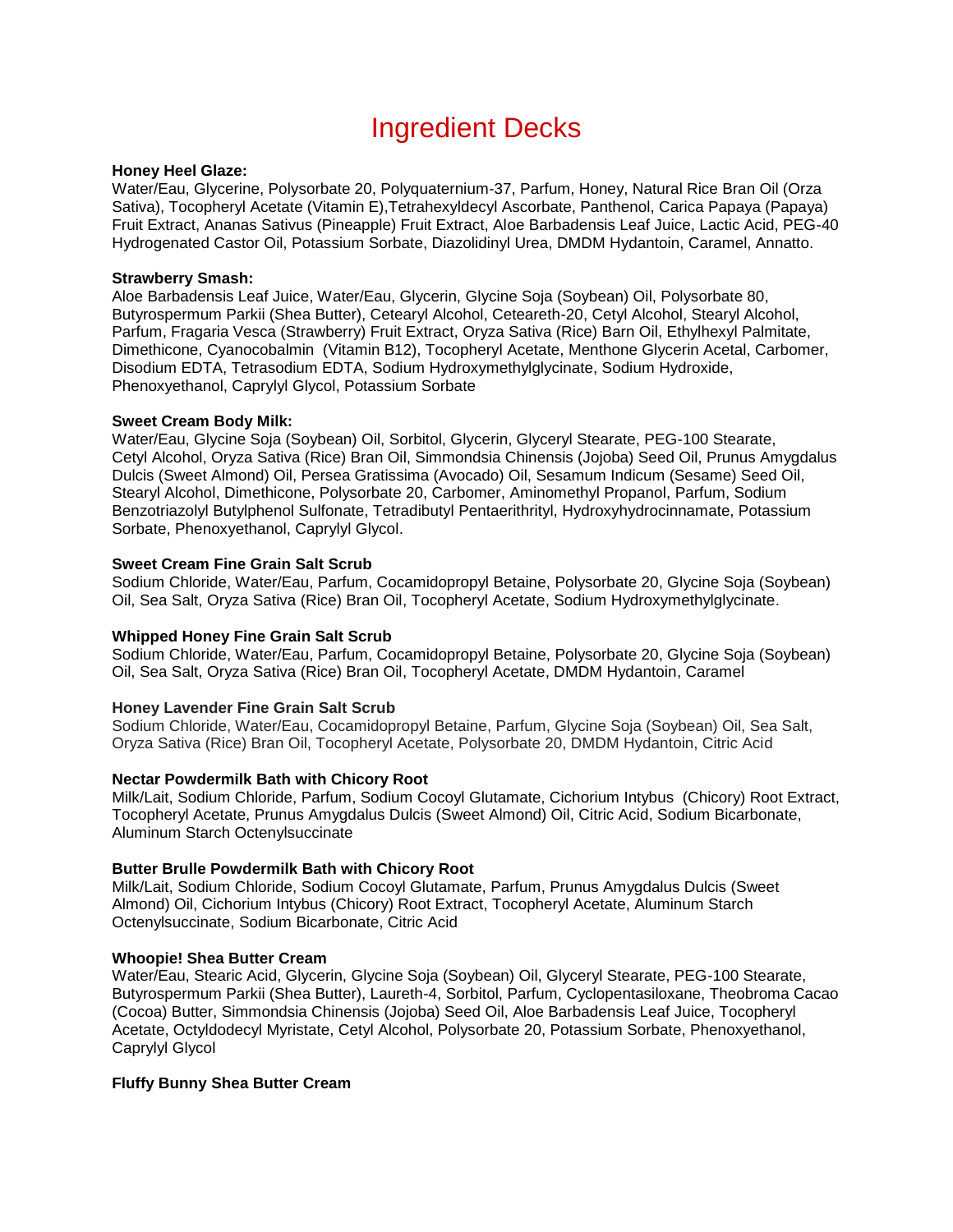# Ingredient Decks

#### **Honey Heel Glaze:**

Water/Eau, Glycerine, Polysorbate 20, Polyquaternium-37, Parfum, Honey, Natural Rice Bran Oil (Orza Sativa), Tocopheryl Acetate (Vitamin E),Tetrahexyldecyl Ascorbate, Panthenol, Carica Papaya (Papaya) Fruit Extract, Ananas Sativus (Pineapple) Fruit Extract, Aloe Barbadensis Leaf Juice, Lactic Acid, PEG-40 Hydrogenated Castor Oil, Potassium Sorbate, Diazolidinyl Urea, DMDM Hydantoin, Caramel, Annatto.

#### **Strawberry Smash:**

Aloe Barbadensis Leaf Juice, Water/Eau, Glycerin, Glycine Soja (Soybean) Oil, Polysorbate 80, Butyrospermum Parkii (Shea Butter), Cetearyl Alcohol, Ceteareth-20, Cetyl Alcohol, Stearyl Alcohol, Parfum, Fragaria Vesca (Strawberry) Fruit Extract, Oryza Sativa (Rice) Barn Oil, Ethylhexyl Palmitate, Dimethicone, Cyanocobalmin (Vitamin B12), Tocopheryl Acetate, Menthone Glycerin Acetal, Carbomer, Disodium EDTA, Tetrasodium EDTA, Sodium Hydroxymethylglycinate, Sodium Hydroxide, Phenoxyethanol, Caprylyl Glycol, Potassium Sorbate

#### **Sweet Cream Body Milk:**

Water/Eau, Glycine Soja (Soybean) Oil, Sorbitol, Glycerin, Glyceryl Stearate, PEG-100 Stearate, Cetyl Alcohol, Oryza Sativa (Rice) Bran Oil, Simmondsia Chinensis (Jojoba) Seed Oil, Prunus Amygdalus Dulcis (Sweet Almond) Oil, Persea Gratissima (Avocado) Oil, Sesamum Indicum (Sesame) Seed Oil, Stearyl Alcohol, Dimethicone, Polysorbate 20, Carbomer, Aminomethyl Propanol, Parfum, Sodium Benzotriazolyl Butylphenol Sulfonate, Tetradibutyl Pentaerithrityl, Hydroxyhydrocinnamate, Potassium Sorbate, Phenoxyethanol, Caprylyl Glycol.

#### **Sweet Cream Fine Grain Salt Scrub**

Sodium Chloride, Water/Eau, Parfum, Cocamidopropyl Betaine, Polysorbate 20, Glycine Soja (Soybean) Oil, Sea Salt, Oryza Sativa (Rice) Bran Oil, Tocopheryl Acetate, Sodium Hydroxymethylglycinate.

#### **Whipped Honey Fine Grain Salt Scrub**

Sodium Chloride, Water/Eau, Parfum, Cocamidopropyl Betaine, Polysorbate 20, Glycine Soja (Soybean) Oil, Sea Salt, Oryza Sativa (Rice) Bran Oil, Tocopheryl Acetate, DMDM Hydantoin, Caramel

#### **Honey Lavender Fine Grain Salt Scrub**

Sodium Chloride, Water/Eau, Cocamidopropyl Betaine, Parfum, Glycine Soja (Soybean) Oil, Sea Salt, Oryza Sativa (Rice) Bran Oil, Tocopheryl Acetate, Polysorbate 20, DMDM Hydantoin, Citric Acid

#### **Nectar Powdermilk Bath with Chicory Root**

Milk/Lait, Sodium Chloride, Parfum, Sodium Cocoyl Glutamate, Cichorium Intybus (Chicory) Root Extract, Tocopheryl Acetate, Prunus Amygdalus Dulcis (Sweet Almond) Oil, Citric Acid, Sodium Bicarbonate, Aluminum Starch Octenylsuccinate

#### **Butter Brulle Powdermilk Bath with Chicory Root**

Milk/Lait, Sodium Chloride, Sodium Cocoyl Glutamate, Parfum, Prunus Amygdalus Dulcis (Sweet Almond) Oil, Cichorium Intybus (Chicory) Root Extract, Tocopheryl Acetate, Aluminum Starch Octenylsuccinate, Sodium Bicarbonate, Citric Acid

#### **Whoopie! Shea Butter Cream**

Water/Eau, Stearic Acid, Glycerin, Glycine Soja (Soybean) Oil, Glyceryl Stearate, PEG-100 Stearate, Butyrospermum Parkii (Shea Butter), Laureth-4, Sorbitol, Parfum, Cyclopentasiloxane, Theobroma Cacao (Cocoa) Butter, Simmondsia Chinensis (Jojoba) Seed Oil, Aloe Barbadensis Leaf Juice, Tocopheryl Acetate, Octyldodecyl Myristate, Cetyl Alcohol, Polysorbate 20, Potassium Sorbate, Phenoxyethanol, Caprylyl Glycol

#### **Fluffy Bunny Shea Butter Cream**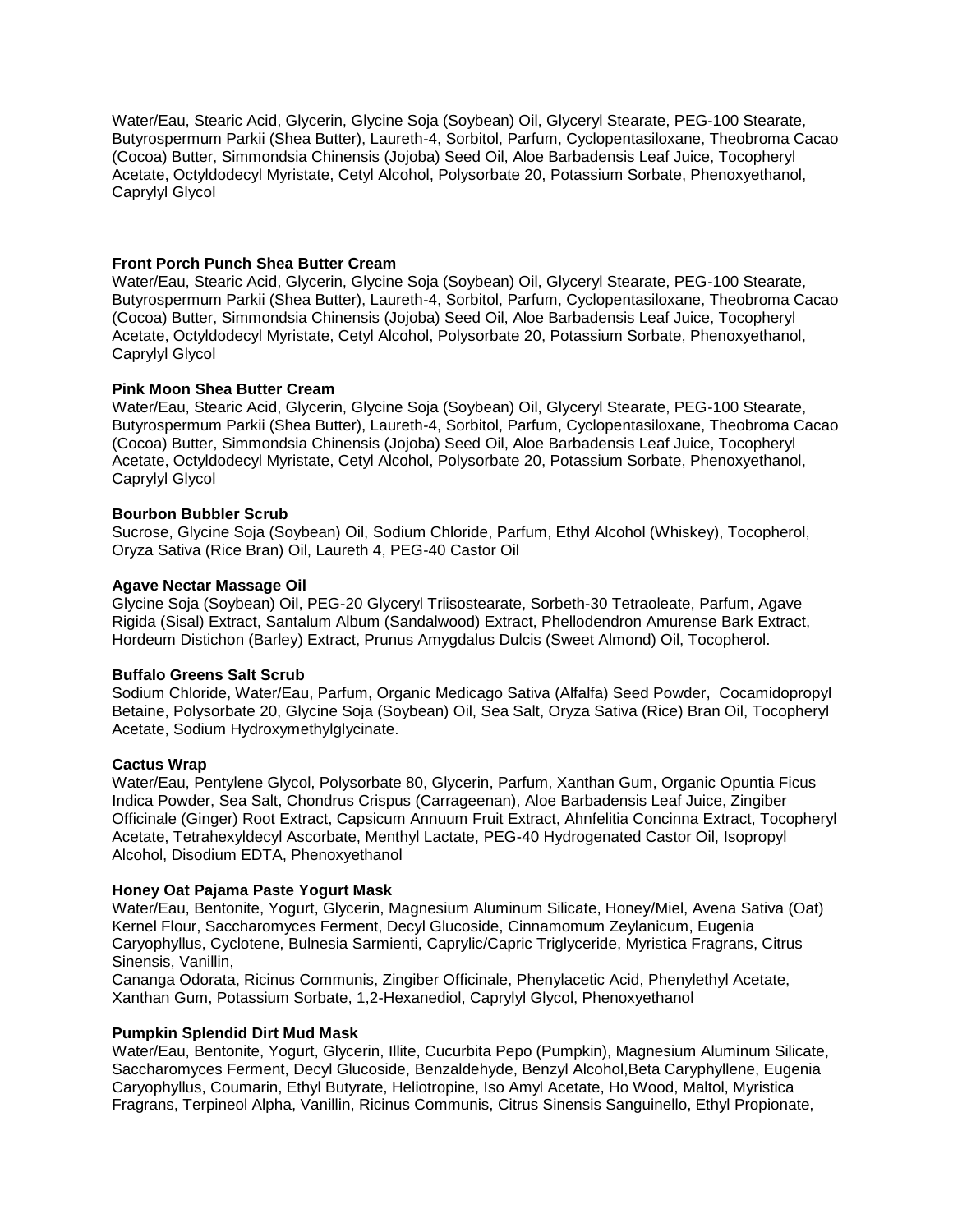Water/Eau, Stearic Acid, Glycerin, Glycine Soja (Soybean) Oil, Glyceryl Stearate, PEG-100 Stearate, Butyrospermum Parkii (Shea Butter), Laureth-4, Sorbitol, Parfum, Cyclopentasiloxane, Theobroma Cacao (Cocoa) Butter, Simmondsia Chinensis (Jojoba) Seed Oil, Aloe Barbadensis Leaf Juice, Tocopheryl Acetate, Octyldodecyl Myristate, Cetyl Alcohol, Polysorbate 20, Potassium Sorbate, Phenoxyethanol, Caprylyl Glycol

#### **Front Porch Punch Shea Butter Cream**

Water/Eau, Stearic Acid, Glycerin, Glycine Soja (Soybean) Oil, Glyceryl Stearate, PEG-100 Stearate, Butyrospermum Parkii (Shea Butter), Laureth-4, Sorbitol, Parfum, Cyclopentasiloxane, Theobroma Cacao (Cocoa) Butter, Simmondsia Chinensis (Jojoba) Seed Oil, Aloe Barbadensis Leaf Juice, Tocopheryl Acetate, Octyldodecyl Myristate, Cetyl Alcohol, Polysorbate 20, Potassium Sorbate, Phenoxyethanol, Caprylyl Glycol

# **Pink Moon Shea Butter Cream**

Water/Eau, Stearic Acid, Glycerin, Glycine Soja (Soybean) Oil, Glyceryl Stearate, PEG-100 Stearate, Butyrospermum Parkii (Shea Butter), Laureth-4, Sorbitol, Parfum, Cyclopentasiloxane, Theobroma Cacao (Cocoa) Butter, Simmondsia Chinensis (Jojoba) Seed Oil, Aloe Barbadensis Leaf Juice, Tocopheryl Acetate, Octyldodecyl Myristate, Cetyl Alcohol, Polysorbate 20, Potassium Sorbate, Phenoxyethanol, Caprylyl Glycol

# **Bourbon Bubbler Scrub**

Sucrose, Glycine Soja (Soybean) Oil, Sodium Chloride, Parfum, Ethyl Alcohol (Whiskey), Tocopherol, Oryza Sativa (Rice Bran) Oil, Laureth 4, PEG-40 Castor Oil

# **Agave Nectar Massage Oil**

Glycine Soja (Soybean) Oil, PEG-20 Glyceryl Triisostearate, Sorbeth-30 Tetraoleate, Parfum, Agave Rigida (Sisal) Extract, Santalum Album (Sandalwood) Extract, Phellodendron Amurense Bark Extract, Hordeum Distichon (Barley) Extract, Prunus Amygdalus Dulcis (Sweet Almond) Oil, Tocopherol.

#### **Buffalo Greens Salt Scrub**

Sodium Chloride, Water/Eau, Parfum, Organic Medicago Sativa (Alfalfa) Seed Powder, Cocamidopropyl Betaine, Polysorbate 20, Glycine Soja (Soybean) Oil, Sea Salt, Oryza Sativa (Rice) Bran Oil, Tocopheryl Acetate, Sodium Hydroxymethylglycinate.

#### **Cactus Wrap**

Water/Eau, Pentylene Glycol, Polysorbate 80, Glycerin, Parfum, Xanthan Gum, Organic Opuntia Ficus Indica Powder, Sea Salt, Chondrus Crispus (Carrageenan), Aloe Barbadensis Leaf Juice, Zingiber Officinale (Ginger) Root Extract, Capsicum Annuum Fruit Extract, Ahnfelitia Concinna Extract, Tocopheryl Acetate, Tetrahexyldecyl Ascorbate, Menthyl Lactate, PEG-40 Hydrogenated Castor Oil, Isopropyl Alcohol, Disodium EDTA, Phenoxyethanol

# **Honey Oat Pajama Paste Yogurt Mask**

Water/Eau, Bentonite, Yogurt, Glycerin, Magnesium Aluminum Silicate, Honey/Miel, Avena Sativa (Oat) Kernel Flour, Saccharomyces Ferment, Decyl Glucoside, Cinnamomum Zeylanicum, Eugenia Caryophyllus, Cyclotene, Bulnesia Sarmienti, Caprylic/Capric Triglyceride, Myristica Fragrans, Citrus Sinensis, Vanillin,

Cananga Odorata, Ricinus Communis, Zingiber Officinale, Phenylacetic Acid, Phenylethyl Acetate, Xanthan Gum, Potassium Sorbate, 1,2-Hexanediol, Caprylyl Glycol, Phenoxyethanol

### **Pumpkin Splendid Dirt Mud Mask**

Water/Eau, Bentonite, Yogurt, Glycerin, Illite, Cucurbita Pepo (Pumpkin), Magnesium Aluminum Silicate, Saccharomyces Ferment, Decyl Glucoside, Benzaldehyde, Benzyl Alcohol,Beta Caryphyllene, Eugenia Caryophyllus, Coumarin, Ethyl Butyrate, Heliotropine, Iso Amyl Acetate, Ho Wood, Maltol, Myristica Fragrans, Terpineol Alpha, Vanillin, Ricinus Communis, Citrus Sinensis Sanguinello, Ethyl Propionate,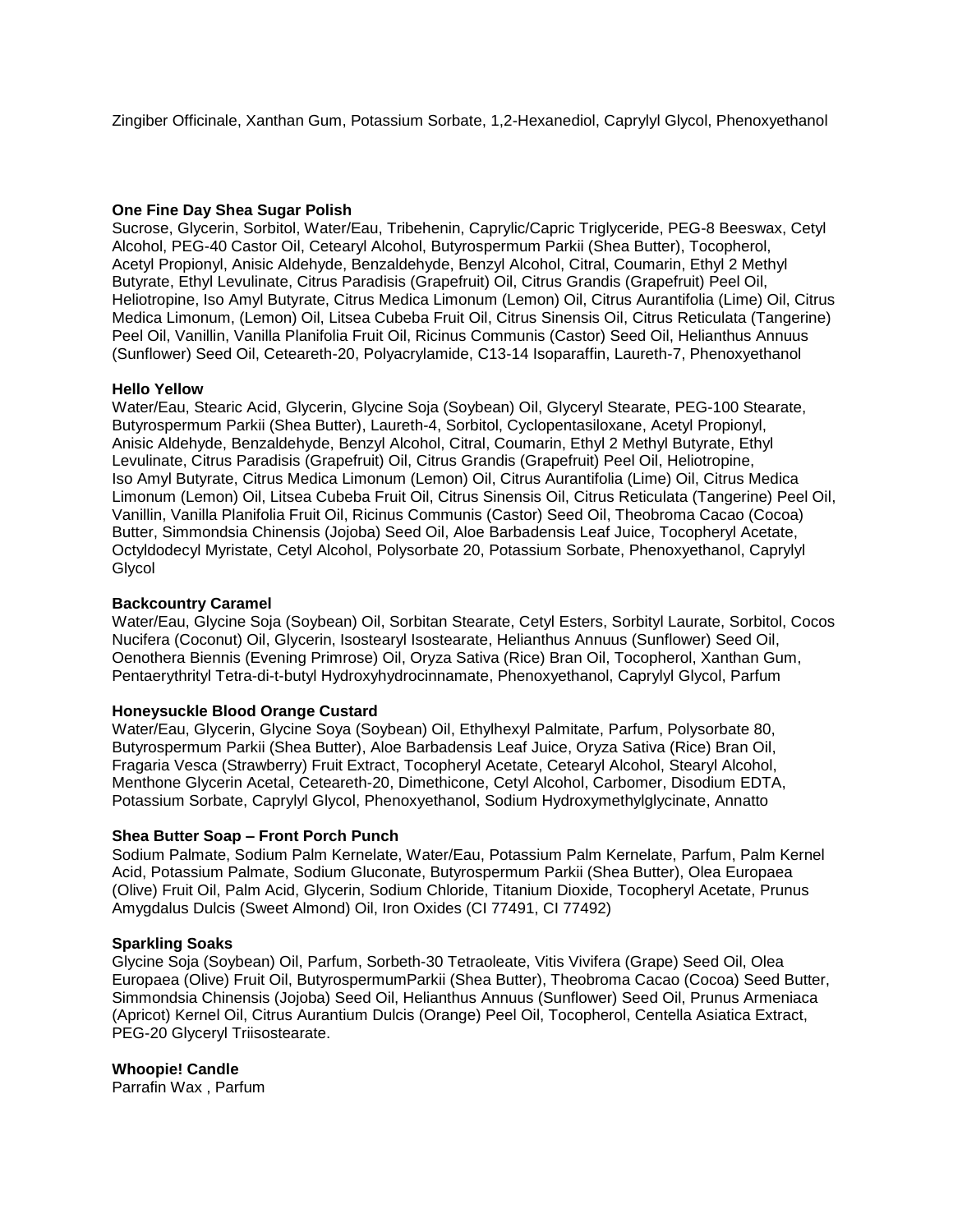Zingiber Officinale, Xanthan Gum, Potassium Sorbate, 1,2-Hexanediol, Caprylyl Glycol, Phenoxyethanol

# **One Fine Day Shea Sugar Polish**

Sucrose, Glycerin, Sorbitol, Water/Eau, Tribehenin, Caprylic/Capric Triglyceride, PEG-8 Beeswax, Cetyl Alcohol, PEG-40 Castor Oil, Cetearyl Alcohol, Butyrospermum Parkii (Shea Butter), Tocopherol, Acetyl Propionyl, Anisic Aldehyde, Benzaldehyde, Benzyl Alcohol, Citral, Coumarin, Ethyl 2 Methyl Butyrate, Ethyl Levulinate, Citrus Paradisis (Grapefruit) Oil, Citrus Grandis (Grapefruit) Peel Oil, Heliotropine, Iso Amyl Butyrate, Citrus Medica Limonum (Lemon) Oil, Citrus Aurantifolia (Lime) Oil, Citrus Medica Limonum, (Lemon) Oil, Litsea Cubeba Fruit Oil, Citrus Sinensis Oil, Citrus Reticulata (Tangerine) Peel Oil, Vanillin, Vanilla Planifolia Fruit Oil, Ricinus Communis (Castor) Seed Oil, Helianthus Annuus (Sunflower) Seed Oil, Ceteareth-20, Polyacrylamide, C13-14 Isoparaffin, Laureth-7, Phenoxyethanol

#### **Hello Yellow**

Water/Eau, Stearic Acid, Glycerin, Glycine Soja (Soybean) Oil, Glyceryl Stearate, PEG-100 Stearate, Butyrospermum Parkii (Shea Butter), Laureth-4, Sorbitol, Cyclopentasiloxane, Acetyl Propionyl, Anisic Aldehyde, Benzaldehyde, Benzyl Alcohol, Citral, Coumarin, Ethyl 2 Methyl Butyrate, Ethyl Levulinate, Citrus Paradisis (Grapefruit) Oil, Citrus Grandis (Grapefruit) Peel Oil, Heliotropine, Iso Amyl Butyrate, Citrus Medica Limonum (Lemon) Oil, Citrus Aurantifolia (Lime) Oil, Citrus Medica Limonum (Lemon) Oil, Litsea Cubeba Fruit Oil, Citrus Sinensis Oil, Citrus Reticulata (Tangerine) Peel Oil, Vanillin, Vanilla Planifolia Fruit Oil, Ricinus Communis (Castor) Seed Oil, Theobroma Cacao (Cocoa) Butter, Simmondsia Chinensis (Jojoba) Seed Oil, Aloe Barbadensis Leaf Juice, Tocopheryl Acetate, Octyldodecyl Myristate, Cetyl Alcohol, Polysorbate 20, Potassium Sorbate, Phenoxyethanol, Caprylyl Glycol

# **Backcountry Caramel**

Water/Eau, Glycine Soja (Soybean) Oil, Sorbitan Stearate, Cetyl Esters, Sorbityl Laurate, Sorbitol, Cocos Nucifera (Coconut) Oil, Glycerin, Isostearyl Isostearate, Helianthus Annuus (Sunflower) Seed Oil, Oenothera Biennis (Evening Primrose) Oil, Oryza Sativa (Rice) Bran Oil, Tocopherol, Xanthan Gum, Pentaerythrityl Tetra-di-t-butyl Hydroxyhydrocinnamate, Phenoxyethanol, Caprylyl Glycol, Parfum

#### **Honeysuckle Blood Orange Custard**

Water/Eau, Glycerin, Glycine Soya (Soybean) Oil, Ethylhexyl Palmitate, Parfum, Polysorbate 80, Butyrospermum Parkii (Shea Butter), Aloe Barbadensis Leaf Juice, Oryza Sativa (Rice) Bran Oil, Fragaria Vesca (Strawberry) Fruit Extract, Tocopheryl Acetate, Cetearyl Alcohol, Stearyl Alcohol, Menthone Glycerin Acetal, Ceteareth-20, Dimethicone, Cetyl Alcohol, Carbomer, Disodium EDTA, Potassium Sorbate, Caprylyl Glycol, Phenoxyethanol, Sodium Hydroxymethylglycinate, Annatto

#### **Shea Butter Soap – Front Porch Punch**

Sodium Palmate, Sodium Palm Kernelate, Water/Eau, Potassium Palm Kernelate, Parfum, Palm Kernel Acid, Potassium Palmate, Sodium Gluconate, Butyrospermum Parkii (Shea Butter), Olea Europaea (Olive) Fruit Oil, Palm Acid, Glycerin, Sodium Chloride, Titanium Dioxide, Tocopheryl Acetate, Prunus Amygdalus Dulcis (Sweet Almond) Oil, Iron Oxides (CI 77491, CI 77492)

#### **Sparkling Soaks**

Glycine Soja (Soybean) Oil, Parfum, Sorbeth-30 Tetraoleate, Vitis Vivifera (Grape) Seed Oil, Olea Europaea (Olive) Fruit Oil, ButyrospermumParkii (Shea Butter), Theobroma Cacao (Cocoa) Seed Butter, Simmondsia Chinensis (Jojoba) Seed Oil, Helianthus Annuus (Sunflower) Seed Oil, Prunus Armeniaca (Apricot) Kernel Oil, Citrus Aurantium Dulcis (Orange) Peel Oil, Tocopherol, Centella Asiatica Extract, PEG-20 Glyceryl Triisostearate.

# **Whoopie! Candle**

Parrafin Wax , Parfum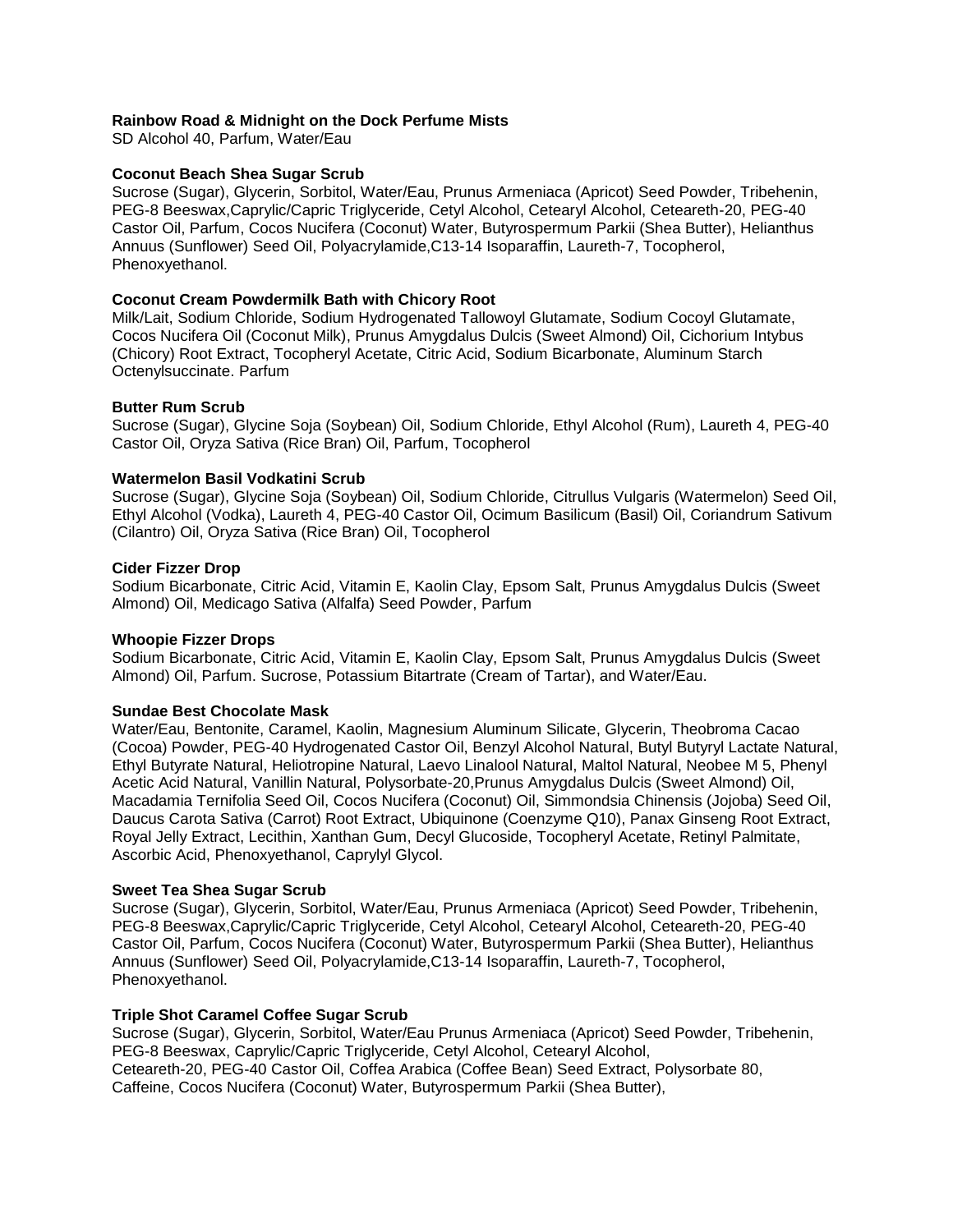### **Rainbow Road & Midnight on the Dock Perfume Mists**

SD Alcohol 40, Parfum, Water/Eau

### **Coconut Beach Shea Sugar Scrub**

Sucrose (Sugar), Glycerin, Sorbitol, Water/Eau, Prunus Armeniaca (Apricot) Seed Powder, Tribehenin, PEG-8 Beeswax,Caprylic/Capric Triglyceride, Cetyl Alcohol, Cetearyl Alcohol, Ceteareth-20, PEG-40 Castor Oil, Parfum, Cocos Nucifera (Coconut) Water, Butyrospermum Parkii (Shea Butter), Helianthus Annuus (Sunflower) Seed Oil, Polyacrylamide,C13-14 Isoparaffin, Laureth-7, Tocopherol, Phenoxyethanol.

### **Coconut Cream Powdermilk Bath with Chicory Root**

Milk/Lait, Sodium Chloride, Sodium Hydrogenated Tallowoyl Glutamate, Sodium Cocoyl Glutamate, Cocos Nucifera Oil (Coconut Milk), Prunus Amygdalus Dulcis (Sweet Almond) Oil, Cichorium Intybus (Chicory) Root Extract, Tocopheryl Acetate, Citric Acid, Sodium Bicarbonate, Aluminum Starch Octenylsuccinate. Parfum

#### **Butter Rum Scrub**

Sucrose (Sugar), Glycine Soja (Soybean) Oil, Sodium Chloride, Ethyl Alcohol (Rum), Laureth 4, PEG-40 Castor Oil, Oryza Sativa (Rice Bran) Oil, Parfum, Tocopherol

#### **Watermelon Basil Vodkatini Scrub**

Sucrose (Sugar), Glycine Soja (Soybean) Oil, Sodium Chloride, Citrullus Vulgaris (Watermelon) Seed Oil, Ethyl Alcohol (Vodka), Laureth 4, PEG-40 Castor Oil, Ocimum Basilicum (Basil) Oil, Coriandrum Sativum (Cilantro) Oil, Oryza Sativa (Rice Bran) Oil, Tocopherol

#### **Cider Fizzer Drop**

Sodium Bicarbonate, Citric Acid, Vitamin E, Kaolin Clay, Epsom Salt, Prunus Amygdalus Dulcis (Sweet Almond) Oil, Medicago Sativa (Alfalfa) Seed Powder, Parfum

#### **Whoopie Fizzer Drops**

Sodium Bicarbonate, Citric Acid, Vitamin E, Kaolin Clay, Epsom Salt, Prunus Amygdalus Dulcis (Sweet Almond) Oil, Parfum. Sucrose, Potassium Bitartrate (Cream of Tartar), and Water/Eau.

#### **Sundae Best Chocolate Mask**

Water/Eau, Bentonite, Caramel, Kaolin, Magnesium Aluminum Silicate, Glycerin, Theobroma Cacao (Cocoa) Powder, PEG-40 Hydrogenated Castor Oil, Benzyl Alcohol Natural, Butyl Butyryl Lactate Natural, Ethyl Butyrate Natural, Heliotropine Natural, Laevo Linalool Natural, Maltol Natural, Neobee M 5, Phenyl Acetic Acid Natural, Vanillin Natural, Polysorbate-20,Prunus Amygdalus Dulcis (Sweet Almond) Oil, Macadamia Ternifolia Seed Oil, Cocos Nucifera (Coconut) Oil, Simmondsia Chinensis (Jojoba) Seed Oil, Daucus Carota Sativa (Carrot) Root Extract, Ubiquinone (Coenzyme Q10), Panax Ginseng Root Extract, Royal Jelly Extract, Lecithin, Xanthan Gum, Decyl Glucoside, Tocopheryl Acetate, Retinyl Palmitate, Ascorbic Acid, Phenoxyethanol, Caprylyl Glycol.

#### **Sweet Tea Shea Sugar Scrub**

Sucrose (Sugar), Glycerin, Sorbitol, Water/Eau, Prunus Armeniaca (Apricot) Seed Powder, Tribehenin, PEG-8 Beeswax,Caprylic/Capric Triglyceride, Cetyl Alcohol, Cetearyl Alcohol, Ceteareth-20, PEG-40 Castor Oil, Parfum, Cocos Nucifera (Coconut) Water, Butyrospermum Parkii (Shea Butter), Helianthus Annuus (Sunflower) Seed Oil, Polyacrylamide,C13-14 Isoparaffin, Laureth-7, Tocopherol, Phenoxyethanol.

#### **Triple Shot Caramel Coffee Sugar Scrub**

Sucrose (Sugar), Glycerin, Sorbitol, Water/Eau Prunus Armeniaca (Apricot) Seed Powder, Tribehenin, PEG-8 Beeswax, Caprylic/Capric Triglyceride, Cetyl Alcohol, Cetearyl Alcohol, Ceteareth-20, PEG-40 Castor Oil, Coffea Arabica (Coffee Bean) Seed Extract, Polysorbate 80, Caffeine, Cocos Nucifera (Coconut) Water, Butyrospermum Parkii (Shea Butter),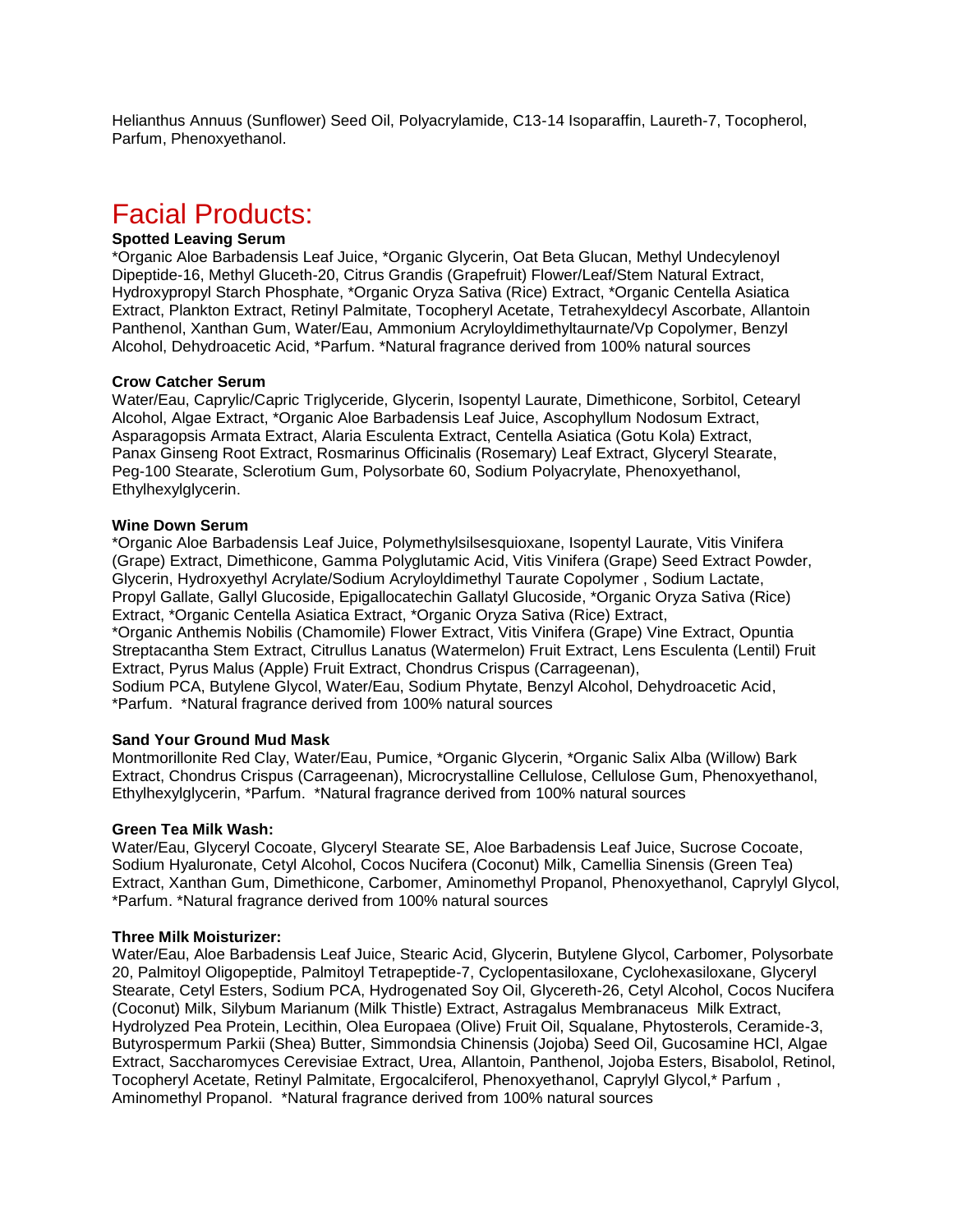Helianthus Annuus (Sunflower) Seed Oil, Polyacrylamide, C13-14 Isoparaffin, Laureth-7, Tocopherol, Parfum, Phenoxyethanol.

# Facial Products:

#### **Spotted Leaving Serum**

\*Organic Aloe Barbadensis Leaf Juice, \*Organic Glycerin, Oat Beta Glucan, Methyl Undecylenoyl Dipeptide-16, Methyl Gluceth-20, Citrus Grandis (Grapefruit) Flower/Leaf/Stem Natural Extract, Hydroxypropyl Starch Phosphate, \*Organic Oryza Sativa (Rice) Extract, \*Organic Centella Asiatica Extract, Plankton Extract, Retinyl Palmitate, Tocopheryl Acetate, Tetrahexyldecyl Ascorbate, Allantoin Panthenol, Xanthan Gum, Water/Eau, Ammonium Acryloyldimethyltaurnate/Vp Copolymer, Benzyl Alcohol, Dehydroacetic Acid, \*Parfum. \*Natural fragrance derived from 100% natural sources

#### **Crow Catcher Serum**

Water/Eau, Caprylic/Capric Triglyceride, Glycerin, Isopentyl Laurate, Dimethicone, Sorbitol, Cetearyl Alcohol, Algae Extract, \*Organic Aloe Barbadensis Leaf Juice, Ascophyllum Nodosum Extract, Asparagopsis Armata Extract, Alaria Esculenta Extract, Centella Asiatica (Gotu Kola) Extract, Panax Ginseng Root Extract, Rosmarinus Officinalis (Rosemary) Leaf Extract, Glyceryl Stearate, Peg-100 Stearate, Sclerotium Gum, Polysorbate 60, Sodium Polyacrylate, Phenoxyethanol, Ethylhexylglycerin.

#### **Wine Down Serum**

\*Organic Aloe Barbadensis Leaf Juice, Polymethylsilsesquioxane, Isopentyl Laurate, Vitis Vinifera (Grape) Extract, Dimethicone, Gamma Polyglutamic Acid, Vitis Vinifera (Grape) Seed Extract Powder, Glycerin, Hydroxyethyl Acrylate/Sodium Acryloyldimethyl Taurate Copolymer , Sodium Lactate, Propyl Gallate, Gallyl Glucoside, Epigallocatechin Gallatyl Glucoside, \*Organic Oryza Sativa (Rice) Extract, \*Organic Centella Asiatica Extract, \*Organic Oryza Sativa (Rice) Extract, \*Organic Anthemis Nobilis (Chamomile) Flower Extract, Vitis Vinifera (Grape) Vine Extract, Opuntia Streptacantha Stem Extract, Citrullus Lanatus (Watermelon) Fruit Extract, Lens Esculenta (Lentil) Fruit Extract, Pyrus Malus (Apple) Fruit Extract, Chondrus Crispus (Carrageenan), Sodium PCA, Butylene Glycol, Water/Eau, Sodium Phytate, Benzyl Alcohol, Dehydroacetic Acid, \*Parfum. \*Natural fragrance derived from 100% natural sources

#### **Sand Your Ground Mud Mask**

Montmorillonite Red Clay, Water/Eau, Pumice, \*Organic Glycerin, \*Organic Salix Alba (Willow) Bark Extract, Chondrus Crispus (Carrageenan), Microcrystalline Cellulose, Cellulose Gum, Phenoxyethanol, Ethylhexylglycerin, \*Parfum. \*Natural fragrance derived from 100% natural sources

#### **Green Tea Milk Wash:**

Water/Eau, Glyceryl Cocoate, Glyceryl Stearate SE, Aloe Barbadensis Leaf Juice, Sucrose Cocoate, Sodium Hyaluronate, Cetyl Alcohol, Cocos Nucifera (Coconut) Milk, Camellia Sinensis (Green Tea) Extract, Xanthan Gum, Dimethicone, Carbomer, Aminomethyl Propanol, Phenoxyethanol, Caprylyl Glycol, \*Parfum. \*Natural fragrance derived from 100% natural sources

#### **Three Milk Moisturizer:**

Water/Eau, Aloe Barbadensis Leaf Juice, Stearic Acid, Glycerin, Butylene Glycol, Carbomer, Polysorbate 20, Palmitoyl Oligopeptide, Palmitoyl Tetrapeptide-7, Cyclopentasiloxane, Cyclohexasiloxane, Glyceryl Stearate, Cetyl Esters, Sodium PCA, Hydrogenated Soy Oil, Glycereth-26, Cetyl Alcohol, Cocos Nucifera (Coconut) Milk, Silybum Marianum (Milk Thistle) Extract, Astragalus Membranaceus Milk Extract, Hydrolyzed Pea Protein, Lecithin, Olea Europaea (Olive) Fruit Oil, Squalane, Phytosterols, Ceramide-3, Butyrospermum Parkii (Shea) Butter, Simmondsia Chinensis (Jojoba) Seed Oil, Gucosamine HCl, Algae Extract, Saccharomyces Cerevisiae Extract, Urea, Allantoin, Panthenol, Jojoba Esters, Bisabolol, Retinol, Tocopheryl Acetate, Retinyl Palmitate, Ergocalciferol, Phenoxyethanol, Caprylyl Glycol,\* Parfum , Aminomethyl Propanol. \*Natural fragrance derived from 100% natural sources